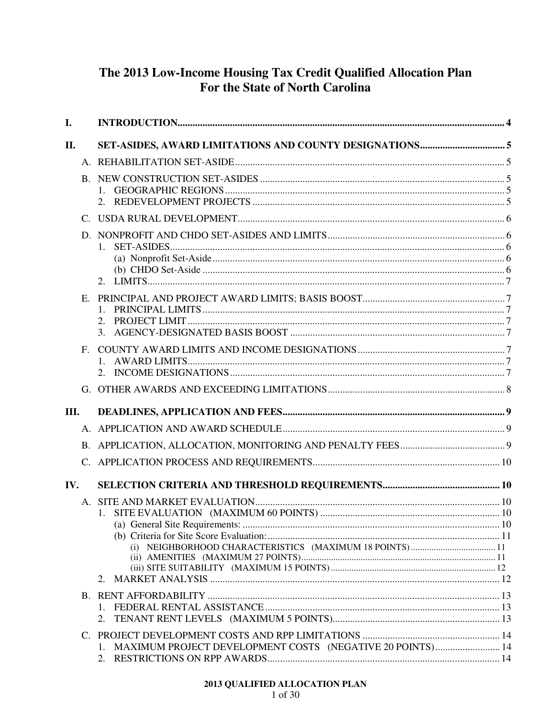# The 2013 Low-Income Housing Tax Credit Qualified Allocation Plan For the State of North Carolina

| $\mathbf{I}$ . |                      |                                                                 |  |
|----------------|----------------------|-----------------------------------------------------------------|--|
| II.            |                      |                                                                 |  |
|                |                      |                                                                 |  |
|                |                      |                                                                 |  |
|                |                      |                                                                 |  |
|                | D.                   | 1.                                                              |  |
|                | E.                   | 2.<br>3.                                                        |  |
|                | F.                   |                                                                 |  |
|                |                      |                                                                 |  |
| Ш.             |                      |                                                                 |  |
|                |                      |                                                                 |  |
|                |                      |                                                                 |  |
|                |                      |                                                                 |  |
| IV.            |                      |                                                                 |  |
|                | $\mathsf{A}_{\cdot}$ |                                                                 |  |
|                |                      | 2.                                                              |  |
|                |                      | 2.                                                              |  |
|                |                      | MAXIMUM PROJECT DEVELOPMENT COSTS (NEGATIVE 20 POINTS) 14<br>1. |  |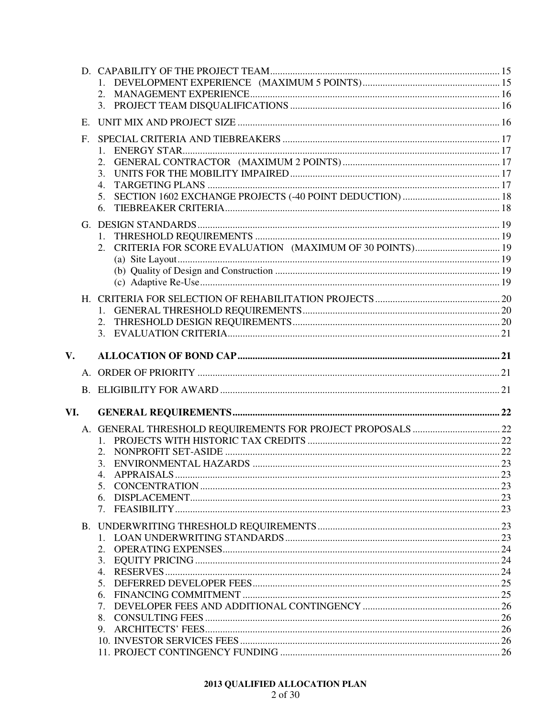|               |             | 2.                               |  |
|---------------|-------------|----------------------------------|--|
|               |             |                                  |  |
|               | $E_{\rm c}$ |                                  |  |
|               | $F_{\cdot}$ |                                  |  |
|               |             |                                  |  |
|               |             | 3.                               |  |
|               |             | $\overline{4}$ .                 |  |
|               |             | 5.                               |  |
|               |             | 6.                               |  |
|               |             |                                  |  |
|               |             | $1_{\cdot}$                      |  |
|               |             | 2.                               |  |
|               |             |                                  |  |
|               |             |                                  |  |
|               |             |                                  |  |
|               |             | $1_{\cdot}$                      |  |
|               |             |                                  |  |
|               |             |                                  |  |
| $V_{\bullet}$ |             |                                  |  |
|               |             |                                  |  |
|               |             |                                  |  |
|               | B.          |                                  |  |
| VI.           |             |                                  |  |
|               |             |                                  |  |
|               |             |                                  |  |
|               |             |                                  |  |
|               |             | 3.                               |  |
|               |             | 5.                               |  |
|               |             | 6.                               |  |
|               |             |                                  |  |
|               |             |                                  |  |
|               |             |                                  |  |
|               |             | 2.                               |  |
|               |             | 3.<br>4.                         |  |
|               |             | 5.                               |  |
|               |             | 6.                               |  |
|               |             | $7_{\scriptscriptstyle{\ddots}}$ |  |
|               |             |                                  |  |
|               |             |                                  |  |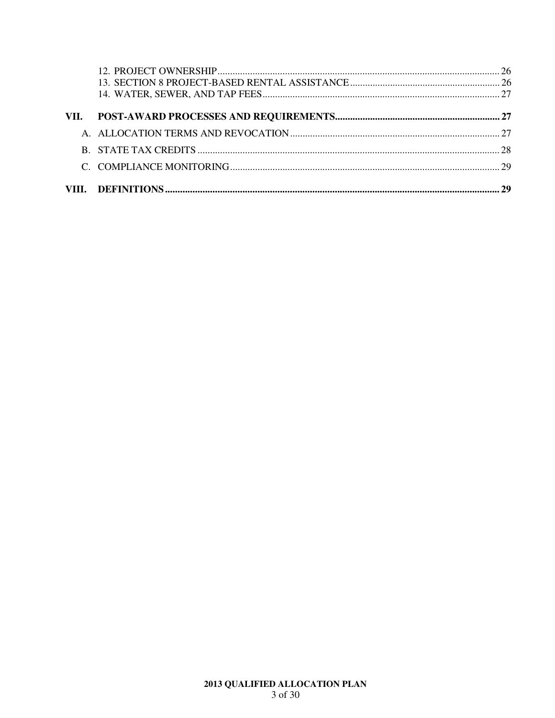| VII. |  |
|------|--|
|      |  |
|      |  |
|      |  |
|      |  |
|      |  |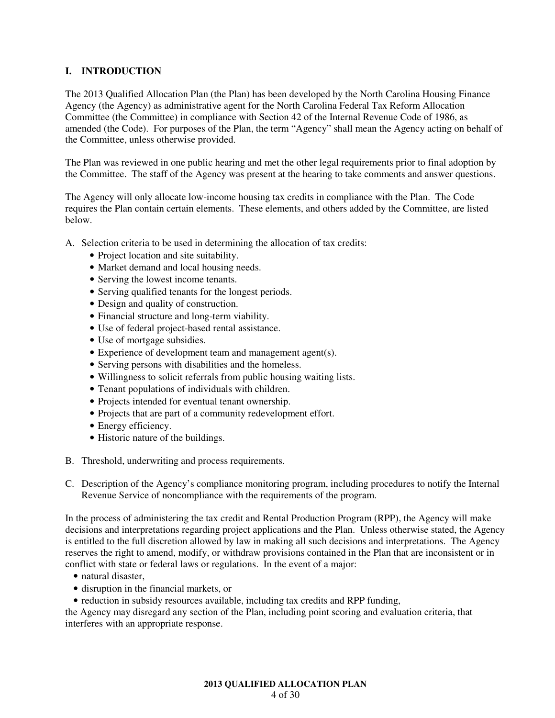# **I. INTRODUCTION**

The 2013 Qualified Allocation Plan (the Plan) has been developed by the North Carolina Housing Finance Agency (the Agency) as administrative agent for the North Carolina Federal Tax Reform Allocation Committee (the Committee) in compliance with Section 42 of the Internal Revenue Code of 1986, as amended (the Code). For purposes of the Plan, the term "Agency" shall mean the Agency acting on behalf of the Committee, unless otherwise provided.

The Plan was reviewed in one public hearing and met the other legal requirements prior to final adoption by the Committee. The staff of the Agency was present at the hearing to take comments and answer questions.

The Agency will only allocate low-income housing tax credits in compliance with the Plan. The Code requires the Plan contain certain elements. These elements, and others added by the Committee, are listed below.

A. Selection criteria to be used in determining the allocation of tax credits:

- Project location and site suitability.
- Market demand and local housing needs.
- Serving the lowest income tenants.
- Serving qualified tenants for the longest periods.
- Design and quality of construction.
- Financial structure and long-term viability.
- Use of federal project-based rental assistance.
- Use of mortgage subsidies.
- Experience of development team and management agent(s).
- Serving persons with disabilities and the homeless.
- Willingness to solicit referrals from public housing waiting lists.
- Tenant populations of individuals with children.
- Projects intended for eventual tenant ownership.
- Projects that are part of a community redevelopment effort.
- Energy efficiency.
- Historic nature of the buildings.
- B. Threshold, underwriting and process requirements.
- C. Description of the Agency's compliance monitoring program, including procedures to notify the Internal Revenue Service of noncompliance with the requirements of the program.

In the process of administering the tax credit and Rental Production Program (RPP), the Agency will make decisions and interpretations regarding project applications and the Plan. Unless otherwise stated, the Agency is entitled to the full discretion allowed by law in making all such decisions and interpretations. The Agency reserves the right to amend, modify, or withdraw provisions contained in the Plan that are inconsistent or in conflict with state or federal laws or regulations. In the event of a major:

- natural disaster,
- disruption in the financial markets, or
- reduction in subsidy resources available, including tax credits and RPP funding,

the Agency may disregard any section of the Plan, including point scoring and evaluation criteria, that interferes with an appropriate response.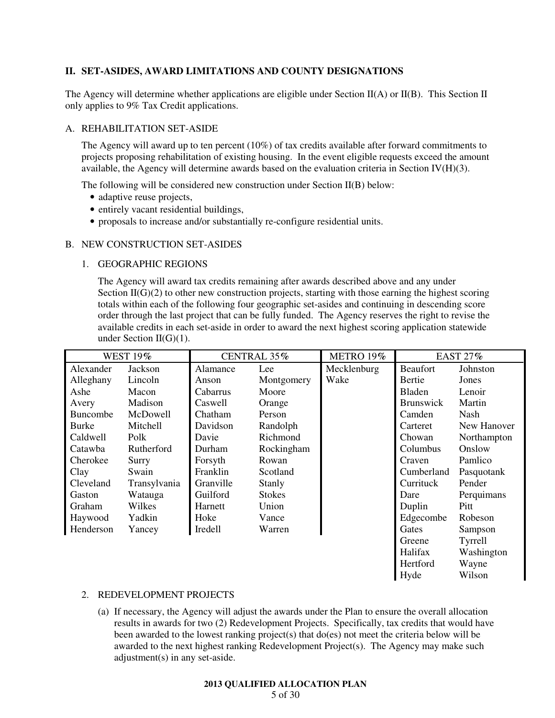# **II. SET-ASIDES, AWARD LIMITATIONS AND COUNTY DESIGNATIONS**

The Agency will determine whether applications are eligible under Section II(A) or II(B). This Section II only applies to 9% Tax Credit applications.

#### A. REHABILITATION SET-ASIDE

The Agency will award up to ten percent (10%) of tax credits available after forward commitments to projects proposing rehabilitation of existing housing. In the event eligible requests exceed the amount available, the Agency will determine awards based on the evaluation criteria in Section IV $(H)(3)$ .

The following will be considered new construction under Section II(B) below:

- adaptive reuse projects,
- entirely vacant residential buildings,
- proposals to increase and/or substantially re-configure residential units.

#### B. NEW CONSTRUCTION SET-ASIDES

### 1. GEOGRAPHIC REGIONS

The Agency will award tax credits remaining after awards described above and any under Section  $II(G)(2)$  to other new construction projects, starting with those earning the highest scoring totals within each of the following four geographic set-asides and continuing in descending score order through the last project that can be fully funded. The Agency reserves the right to revise the available credits in each set-aside in order to award the next highest scoring application statewide under Section II(G)(1).

| <b>WEST 19%</b>     |              |           | CENTRAL 35%   | METRO 19%   |                  | <b>EAST 27%</b> |
|---------------------|--------------|-----------|---------------|-------------|------------------|-----------------|
| Alexander           | Jackson      | Alamance  | Lee           | Mecklenburg | <b>Beaufort</b>  | Johnston        |
| Alleghany           | Lincoln      | Anson     | Montgomery    | Wake        | Bertie           | Jones           |
| Ashe                | Macon        | Cabarrus  | Moore         |             | Bladen           | Lenoir          |
| Avery               | Madison      | Caswell   | Orange        |             | <b>Brunswick</b> | Martin          |
| <b>Buncombe</b>     | McDowell     | Chatham   | Person        |             | Camden           | Nash            |
| Burke               | Mitchell     | Davidson  | Randolph      |             | Carteret         | New Hanover     |
| Caldwell            | Polk         | Davie     | Richmond      |             | Chowan           | Northampton     |
| Catawba             | Rutherford   | Durham    | Rockingham    |             | Columbus         | Onslow          |
| Cherokee            | Surry        | Forsyth   | Rowan         |             | Craven           | Pamlico         |
| Clay                | Swain        | Franklin  | Scotland      |             | Cumberland       | Pasquotank      |
| Cleveland           | Transylvania | Granville | Stanly        |             | Currituck        | Pender          |
| Gaston              | Watauga      | Guilford  | <b>Stokes</b> |             | Dare             | Perquimans      |
| Graham              | Wilkes       | Harnett   | Union         |             | Duplin           | Pitt            |
| Haywood             | Yadkin       | Hoke      | Vance         |             | Edgecombe        | Robeson         |
| Henderson<br>Yancey |              | Iredell   | Warren        |             | Gates            | Sampson         |
|                     |              |           |               |             | Greene           | Tyrrell         |
|                     |              |           |               |             | Halifax          | Washington      |
|                     |              |           |               |             | Hertford         | Wayne           |
|                     |              |           |               |             | Hyde             | Wilson          |

### 2. REDEVELOPMENT PROJECTS

(a) If necessary, the Agency will adjust the awards under the Plan to ensure the overall allocation results in awards for two (2) Redevelopment Projects. Specifically, tax credits that would have been awarded to the lowest ranking project(s) that  $do(es)$  not meet the criteria below will be awarded to the next highest ranking Redevelopment Project(s). The Agency may make such adjustment(s) in any set-aside.

#### **2013 QUALIFIED ALLOCATION PLAN**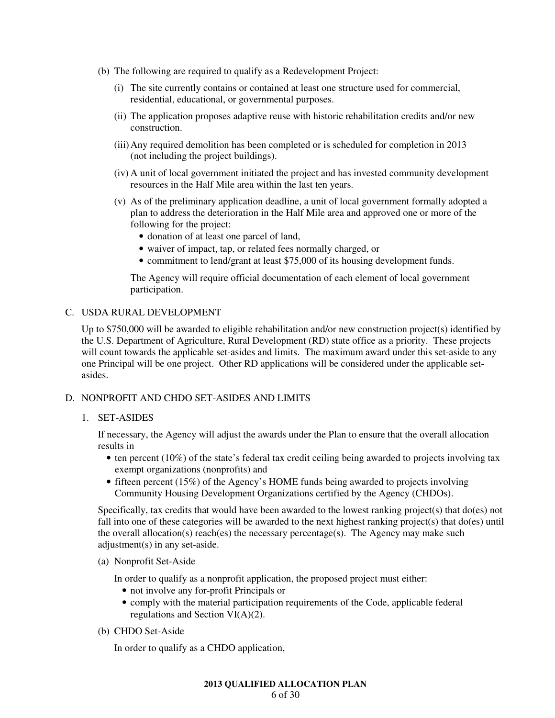- (b) The following are required to qualify as a Redevelopment Project:
	- (i) The site currently contains or contained at least one structure used for commercial, residential, educational, or governmental purposes.
	- (ii) The application proposes adaptive reuse with historic rehabilitation credits and/or new construction.
	- (iii) Any required demolition has been completed or is scheduled for completion in 2013 (not including the project buildings).
	- (iv) A unit of local government initiated the project and has invested community development resources in the Half Mile area within the last ten years.
	- (v) As of the preliminary application deadline, a unit of local government formally adopted a plan to address the deterioration in the Half Mile area and approved one or more of the following for the project:
		- donation of at least one parcel of land,
		- waiver of impact, tap, or related fees normally charged, or
		- commitment to lend/grant at least \$75,000 of its housing development funds.

The Agency will require official documentation of each element of local government participation.

# C. USDA RURAL DEVELOPMENT

Up to \$750,000 will be awarded to eligible rehabilitation and/or new construction project(s) identified by the U.S. Department of Agriculture, Rural Development (RD) state office as a priority. These projects will count towards the applicable set-asides and limits. The maximum award under this set-aside to any one Principal will be one project. Other RD applications will be considered under the applicable setasides.

# D. NONPROFIT AND CHDO SET-ASIDES AND LIMITS

# 1. SET-ASIDES

If necessary, the Agency will adjust the awards under the Plan to ensure that the overall allocation results in

- ten percent (10%) of the state's federal tax credit ceiling being awarded to projects involving tax exempt organizations (nonprofits) and
- fifteen percent (15%) of the Agency's HOME funds being awarded to projects involving Community Housing Development Organizations certified by the Agency (CHDOs).

Specifically, tax credits that would have been awarded to the lowest ranking project(s) that do(es) not fall into one of these categories will be awarded to the next highest ranking project(s) that do(es) until the overall allocation(s) reach(es) the necessary percentage(s). The Agency may make such adjustment(s) in any set-aside.

(a) Nonprofit Set-Aside

In order to qualify as a nonprofit application, the proposed project must either:

- not involve any for-profit Principals or
- comply with the material participation requirements of the Code, applicable federal regulations and Section VI(A)(2).
- (b) CHDO Set-Aside

In order to qualify as a CHDO application,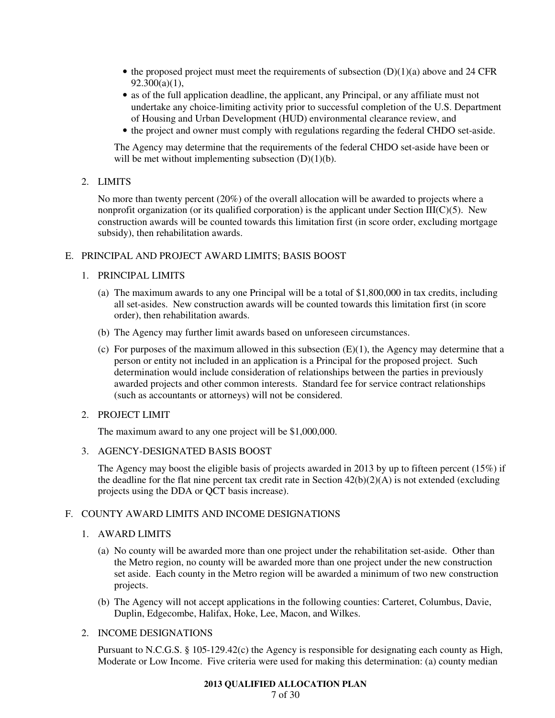- the proposed project must meet the requirements of subsection  $(D)(1)(a)$  above and 24 CFR  $92.300(a)(1),$
- as of the full application deadline, the applicant, any Principal, or any affiliate must not undertake any choice-limiting activity prior to successful completion of the U.S. Department of Housing and Urban Development (HUD) environmental clearance review, and
- the project and owner must comply with regulations regarding the federal CHDO set-aside.

The Agency may determine that the requirements of the federal CHDO set-aside have been or will be met without implementing subsection  $(D)(1)(b)$ .

2. LIMITS

No more than twenty percent (20%) of the overall allocation will be awarded to projects where a nonprofit organization (or its qualified corporation) is the applicant under Section  $III(C)(5)$ . New construction awards will be counted towards this limitation first (in score order, excluding mortgage subsidy), then rehabilitation awards.

# E. PRINCIPAL AND PROJECT AWARD LIMITS; BASIS BOOST

### 1. PRINCIPAL LIMITS

- (a) The maximum awards to any one Principal will be a total of \$1,800,000 in tax credits, including all set-asides. New construction awards will be counted towards this limitation first (in score order), then rehabilitation awards.
- (b) The Agency may further limit awards based on unforeseen circumstances.
- (c) For purposes of the maximum allowed in this subsection  $(E)(1)$ , the Agency may determine that a person or entity not included in an application is a Principal for the proposed project. Such determination would include consideration of relationships between the parties in previously awarded projects and other common interests. Standard fee for service contract relationships (such as accountants or attorneys) will not be considered.

### 2. PROJECT LIMIT

The maximum award to any one project will be \$1,000,000.

3. AGENCY-DESIGNATED BASIS BOOST

The Agency may boost the eligible basis of projects awarded in 2013 by up to fifteen percent (15%) if the deadline for the flat nine percent tax credit rate in Section  $42(b)(2)(A)$  is not extended (excluding projects using the DDA or QCT basis increase).

# F. COUNTY AWARD LIMITS AND INCOME DESIGNATIONS

# 1. AWARD LIMITS

- (a) No county will be awarded more than one project under the rehabilitation set-aside. Other than the Metro region, no county will be awarded more than one project under the new construction set aside. Each county in the Metro region will be awarded a minimum of two new construction projects.
- (b) The Agency will not accept applications in the following counties: Carteret, Columbus, Davie, Duplin, Edgecombe, Halifax, Hoke, Lee, Macon, and Wilkes.

# 2. INCOME DESIGNATIONS

Pursuant to N.C.G.S. § 105-129.42(c) the Agency is responsible for designating each county as High, Moderate or Low Income. Five criteria were used for making this determination: (a) county median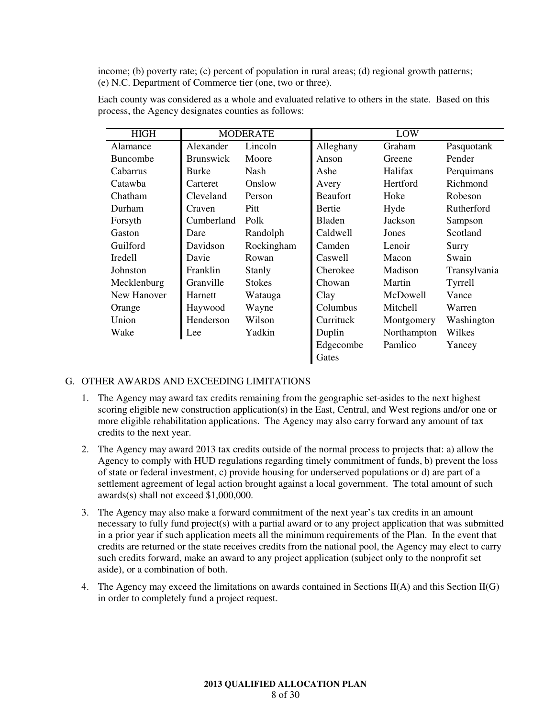income; (b) poverty rate; (c) percent of population in rural areas; (d) regional growth patterns; (e) N.C. Department of Commerce tier (one, two or three).

| <b>HIGH</b>     | <b>MODERATE</b>  |               | LOW             |             |              |
|-----------------|------------------|---------------|-----------------|-------------|--------------|
| Alamance        | Alexander        | Lincoln       | Alleghany       | Graham      | Pasquotank   |
| <b>Buncombe</b> | <b>Brunswick</b> | Moore         | Anson           | Greene      | Pender       |
| Cabarrus        | Burke            | Nash          | Ashe            | Halifax     | Perquimans   |
| Catawba         | Carteret         | Onslow        | Avery           | Hertford    | Richmond     |
| Chatham         | Cleveland        | Person        | <b>Beaufort</b> | Hoke        | Robeson      |
| Durham          | Craven           | Pitt          | Bertie          | Hyde        | Rutherford   |
| Forsyth         | Cumberland       | Polk          | <b>Bladen</b>   | Jackson     | Sampson      |
| Gaston          | Dare             | Randolph      | Caldwell        | Jones       | Scotland     |
| Guilford        | Davidson         | Rockingham    | Camden          | Lenoir      | Surry        |
| Iredell         | Davie            | Rowan         | Caswell         | Macon       | Swain        |
| Johnston        | Franklin         | Stanly        | Cherokee        | Madison     | Transylvania |
| Mecklenburg     | Granville        | <b>Stokes</b> | Chowan          | Martin      | Tyrrell      |
| New Hanover     | Harnett          | Watauga       | Clay            | McDowell    | Vance        |
| Orange          | Haywood          | Wayne         | Columbus        | Mitchell    | Warren       |
| Union           | Henderson        | Wilson        | Currituck       | Montgomery  | Washington   |
| Wake            | Lee              | Yadkin        | Duplin          | Northampton | Wilkes       |
|                 |                  |               | Edgecombe       | Pamlico     | Yancey       |
|                 |                  |               | Gates           |             |              |

Each county was considered as a whole and evaluated relative to others in the state. Based on this process, the Agency designates counties as follows:

# G. OTHER AWARDS AND EXCEEDING LIMITATIONS

- 1. The Agency may award tax credits remaining from the geographic set-asides to the next highest scoring eligible new construction application(s) in the East, Central, and West regions and/or one or more eligible rehabilitation applications. The Agency may also carry forward any amount of tax credits to the next year.
- 2. The Agency may award 2013 tax credits outside of the normal process to projects that: a) allow the Agency to comply with HUD regulations regarding timely commitment of funds, b) prevent the loss of state or federal investment, c) provide housing for underserved populations or d) are part of a settlement agreement of legal action brought against a local government. The total amount of such awards(s) shall not exceed \$1,000,000.
- 3. The Agency may also make a forward commitment of the next year's tax credits in an amount necessary to fully fund project(s) with a partial award or to any project application that was submitted in a prior year if such application meets all the minimum requirements of the Plan. In the event that credits are returned or the state receives credits from the national pool, the Agency may elect to carry such credits forward, make an award to any project application (subject only to the nonprofit set aside), or a combination of both.
- 4. The Agency may exceed the limitations on awards contained in Sections II(A) and this Section II(G) in order to completely fund a project request.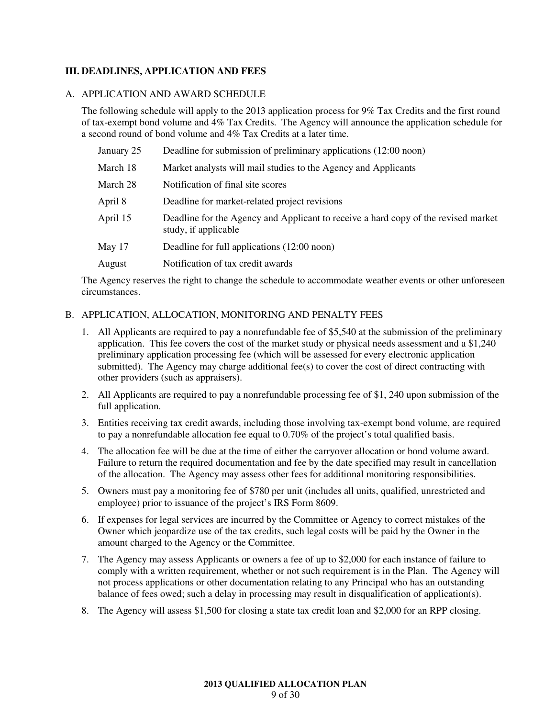# **III. DEADLINES, APPLICATION AND FEES**

#### A. APPLICATION AND AWARD SCHEDULE

The following schedule will apply to the 2013 application process for 9% Tax Credits and the first round of tax-exempt bond volume and 4% Tax Credits. The Agency will announce the application schedule for a second round of bond volume and 4% Tax Credits at a later time.

| January 25 | Deadline for submission of preliminary applications (12:00 noon)                                           |
|------------|------------------------------------------------------------------------------------------------------------|
| March 18   | Market analysts will mail studies to the Agency and Applicants                                             |
| March 28   | Notification of final site scores                                                                          |
| April 8    | Deadline for market-related project revisions                                                              |
| April 15   | Deadline for the Agency and Applicant to receive a hard copy of the revised market<br>study, if applicable |
| May 17     | Deadline for full applications (12:00 noon)                                                                |
| August     | Notification of tax credit awards                                                                          |

The Agency reserves the right to change the schedule to accommodate weather events or other unforeseen circumstances.

# B. APPLICATION, ALLOCATION, MONITORING AND PENALTY FEES

- 1. All Applicants are required to pay a nonrefundable fee of \$5,540 at the submission of the preliminary application. This fee covers the cost of the market study or physical needs assessment and a \$1,240 preliminary application processing fee (which will be assessed for every electronic application submitted). The Agency may charge additional fee(s) to cover the cost of direct contracting with other providers (such as appraisers).
- 2. All Applicants are required to pay a nonrefundable processing fee of \$1, 240 upon submission of the full application.
- 3. Entities receiving tax credit awards, including those involving tax-exempt bond volume, are required to pay a nonrefundable allocation fee equal to 0.70% of the project's total qualified basis.
- 4. The allocation fee will be due at the time of either the carryover allocation or bond volume award. Failure to return the required documentation and fee by the date specified may result in cancellation of the allocation. The Agency may assess other fees for additional monitoring responsibilities.
- 5. Owners must pay a monitoring fee of \$780 per unit (includes all units, qualified, unrestricted and employee) prior to issuance of the project's IRS Form 8609.
- 6. If expenses for legal services are incurred by the Committee or Agency to correct mistakes of the Owner which jeopardize use of the tax credits, such legal costs will be paid by the Owner in the amount charged to the Agency or the Committee.
- 7. The Agency may assess Applicants or owners a fee of up to \$2,000 for each instance of failure to comply with a written requirement, whether or not such requirement is in the Plan. The Agency will not process applications or other documentation relating to any Principal who has an outstanding balance of fees owed; such a delay in processing may result in disqualification of application(s).
- 8. The Agency will assess \$1,500 for closing a state tax credit loan and \$2,000 for an RPP closing.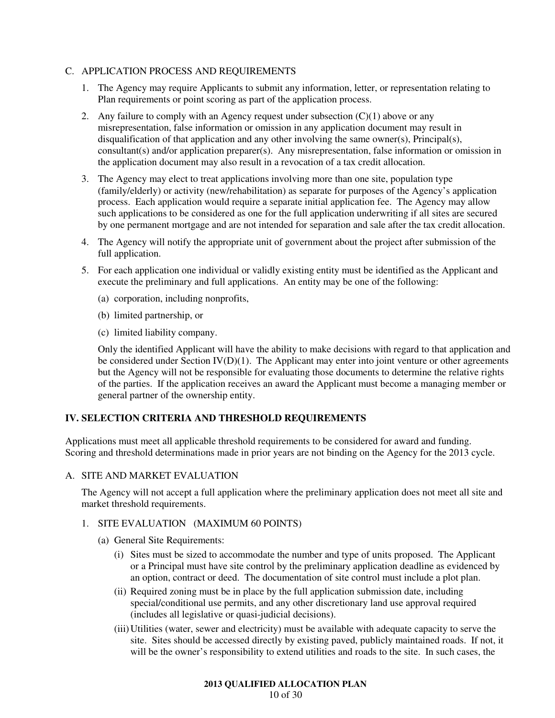# C. APPLICATION PROCESS AND REQUIREMENTS

- 1. The Agency may require Applicants to submit any information, letter, or representation relating to Plan requirements or point scoring as part of the application process.
- 2. Any failure to comply with an Agency request under subsection  $(C)(1)$  above or any misrepresentation, false information or omission in any application document may result in disqualification of that application and any other involving the same owner(s), Principal(s), consultant(s) and/or application preparer(s). Any misrepresentation, false information or omission in the application document may also result in a revocation of a tax credit allocation.
- 3. The Agency may elect to treat applications involving more than one site, population type (family/elderly) or activity (new/rehabilitation) as separate for purposes of the Agency's application process. Each application would require a separate initial application fee. The Agency may allow such applications to be considered as one for the full application underwriting if all sites are secured by one permanent mortgage and are not intended for separation and sale after the tax credit allocation.
- 4. The Agency will notify the appropriate unit of government about the project after submission of the full application.
- 5. For each application one individual or validly existing entity must be identified as the Applicant and execute the preliminary and full applications. An entity may be one of the following:
	- (a) corporation, including nonprofits,
	- (b) limited partnership, or
	- (c) limited liability company.

Only the identified Applicant will have the ability to make decisions with regard to that application and be considered under Section IV(D)(1). The Applicant may enter into joint venture or other agreements but the Agency will not be responsible for evaluating those documents to determine the relative rights of the parties. If the application receives an award the Applicant must become a managing member or general partner of the ownership entity.

# **IV. SELECTION CRITERIA AND THRESHOLD REQUIREMENTS**

Applications must meet all applicable threshold requirements to be considered for award and funding. Scoring and threshold determinations made in prior years are not binding on the Agency for the 2013 cycle.

## A. SITE AND MARKET EVALUATION

The Agency will not accept a full application where the preliminary application does not meet all site and market threshold requirements.

### 1. SITE EVALUATION (MAXIMUM 60 POINTS)

- (a) General Site Requirements:
	- (i) Sites must be sized to accommodate the number and type of units proposed. The Applicant or a Principal must have site control by the preliminary application deadline as evidenced by an option, contract or deed. The documentation of site control must include a plot plan.
	- (ii) Required zoning must be in place by the full application submission date, including special/conditional use permits, and any other discretionary land use approval required (includes all legislative or quasi-judicial decisions).
	- (iii) Utilities (water, sewer and electricity) must be available with adequate capacity to serve the site. Sites should be accessed directly by existing paved, publicly maintained roads. If not, it will be the owner's responsibility to extend utilities and roads to the site. In such cases, the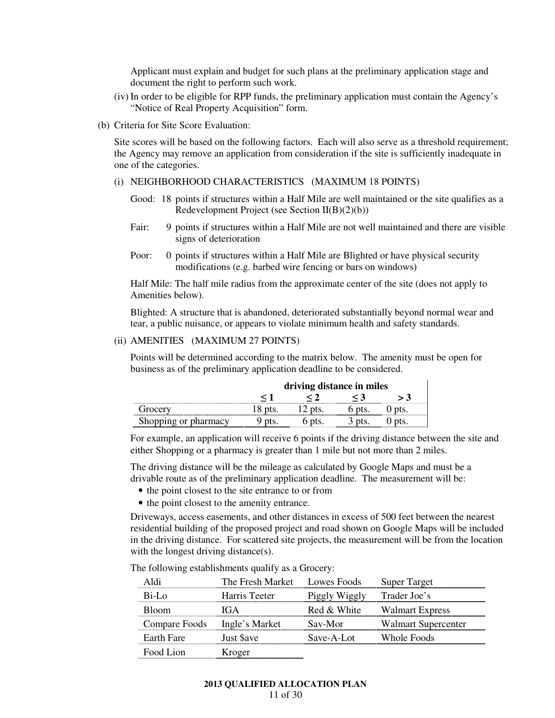Applicant must explain and budget for such plans at the preliminary application stage and document the right to perform such work.

- (iv) In order to be eligible for RPP funds, the preliminary application must contain the Agency's "Notice of Real Property Acquisition" form.
- (b) Criteria for Site Score Evaluation:

Site scores will be based on the following factors. Each will also serve as a threshold requirement; the Agency may remove an application from consideration if the site is sufficiently inadequate in one of the categories.

#### (i) NEIGHBORHOOD CHARACTERISTICS (MAXIMUM 18 POINTS)

- Good: 18 points if structures within a Half Mile are well maintained or the site qualifies as a Redevelopment Project (see Section II(B)(2)(b))
- Fair: 9 points if structures within a Half Mile are not well maintained and there are visible signs of deterioration
- Poor: 0 points if structures within a Half Mile are Blighted or have physical security modifications (e.g. barbed wire fencing or bars on windows)

Half Mile: The half mile radius from the approximate center of the site (does not apply to Amenities below).

Blighted: A structure that is abandoned, deteriorated substantially beyond normal wear and tear, a public nuisance, or appears to violate minimum health and safety standards.

#### (ii) AMENITIES (MAXIMUM 27 POINTS)

Points will be determined according to the matrix below. The amenity must be open for business as of the preliminary application deadline to be considered.

|                     | driving distance in miles |  |  |  |
|---------------------|---------------------------|--|--|--|
|                     |                           |  |  |  |
| .rocerv             |                           |  |  |  |
| hopping or pharmacy |                           |  |  |  |

For example, an application will receive 6 points if the driving distance between the site and either Shopping or a pharmacy is greater than 1 mile but not more than 2 miles.

The driving distance will be the mileage as calculated by Google Maps and must be a drivable route as of the preliminary application deadline. The measurement will be:

- the point closest to the site entrance to or from
- the point closest to the amenity entrance.

Driveways, access easements, and other distances in excess of 500 feet between the nearest residential building of the proposed project and road shown on Google Maps will be included in the driving distance. For scattered site projects, the measurement will be from the location with the longest driving distance(s).

The following establishments qualify as a Grocery:

|               | The Fresh Market Lowes Foods |               | <b>Super Target</b>        |
|---------------|------------------------------|---------------|----------------------------|
| $Ri-Io$       | Harris Teeter                | Piggly Wiggly | Trader Joe's               |
| Bloom         | G <sub>A</sub>               | Red & White   | <b>Walmart Express</b>     |
| Compare Foods | Ingle's Market               | Sav-Mor       | <b>Walmart Supercenter</b> |
| Earth Fare    | Just \$ave                   | Save-A-Lot    | Whole Foods                |
| Food Lion     | Kroger                       |               |                            |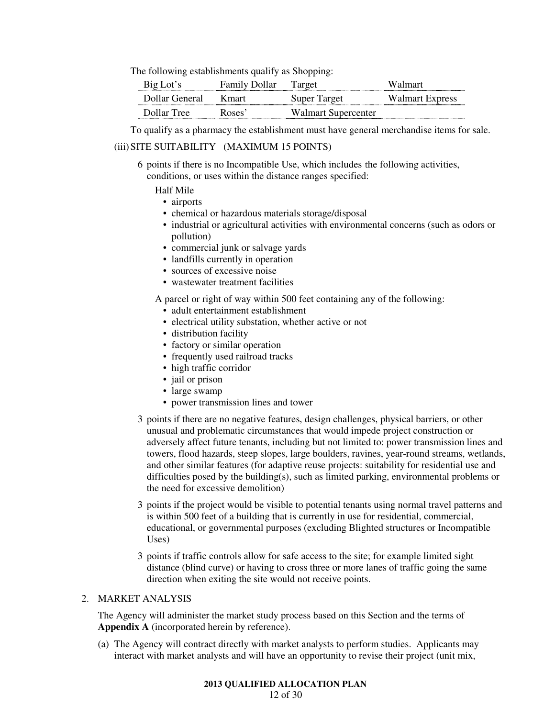The following establishments qualify as Shopping:

| Big Lot's      | <b>Family Dollar</b> | Target              | Walmart         |
|----------------|----------------------|---------------------|-----------------|
| Dollar General | K mart               | Super Target        | Walmart Express |
| Dollar Tree    | Roses <sup>2</sup>   | Walmart Supercenter |                 |

To qualify as a pharmacy the establishment must have general merchandise items for sale.

### (iii) SITE SUITABILITY (MAXIMUM 15 POINTS)

 6 points if there is no Incompatible Use, which includes the following activities, conditions, or uses within the distance ranges specified:

#### Half Mile

- airports
- chemical or hazardous materials storage/disposal
- industrial or agricultural activities with environmental concerns (such as odors or pollution)
- commercial junk or salvage yards
- landfills currently in operation
- sources of excessive noise
- wastewater treatment facilities

A parcel or right of way within 500 feet containing any of the following:

- adult entertainment establishment
- electrical utility substation, whether active or not
- distribution facility
- factory or similar operation
- frequently used railroad tracks
- high traffic corridor
- jail or prison
- large swamp
- power transmission lines and tower
- 3 points if there are no negative features, design challenges, physical barriers, or other unusual and problematic circumstances that would impede project construction or adversely affect future tenants, including but not limited to: power transmission lines and towers, flood hazards, steep slopes, large boulders, ravines, year-round streams, wetlands, and other similar features (for adaptive reuse projects: suitability for residential use and difficulties posed by the building(s), such as limited parking, environmental problems or the need for excessive demolition)
- 3 points if the project would be visible to potential tenants using normal travel patterns and is within 500 feet of a building that is currently in use for residential, commercial, educational, or governmental purposes (excluding Blighted structures or Incompatible Uses)
- 3 points if traffic controls allow for safe access to the site; for example limited sight distance (blind curve) or having to cross three or more lanes of traffic going the same direction when exiting the site would not receive points.

# 2. MARKET ANALYSIS

The Agency will administer the market study process based on this Section and the terms of **Appendix A** (incorporated herein by reference).

(a) The Agency will contract directly with market analysts to perform studies. Applicants may interact with market analysts and will have an opportunity to revise their project (unit mix,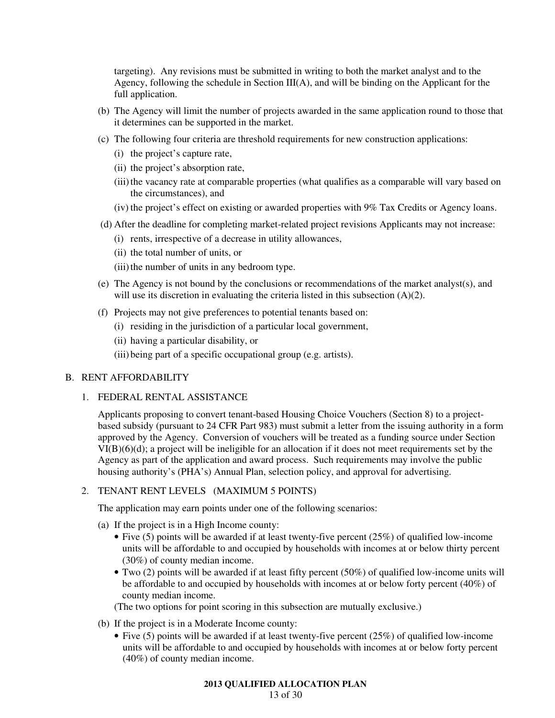targeting). Any revisions must be submitted in writing to both the market analyst and to the Agency, following the schedule in Section  $III(A)$ , and will be binding on the Applicant for the full application.

- (b) The Agency will limit the number of projects awarded in the same application round to those that it determines can be supported in the market.
- (c) The following four criteria are threshold requirements for new construction applications:
	- (i) the project's capture rate,
	- (ii) the project's absorption rate,
	- (iii) the vacancy rate at comparable properties (what qualifies as a comparable will vary based on the circumstances), and
	- (iv) the project's effect on existing or awarded properties with 9% Tax Credits or Agency loans.
- (d) After the deadline for completing market-related project revisions Applicants may not increase:
	- (i) rents, irrespective of a decrease in utility allowances,
	- (ii) the total number of units, or
	- (iii) the number of units in any bedroom type.
- (e) The Agency is not bound by the conclusions or recommendations of the market analyst(s), and will use its discretion in evaluating the criteria listed in this subsection (A)(2).
- (f) Projects may not give preferences to potential tenants based on:
	- (i) residing in the jurisdiction of a particular local government,
	- (ii) having a particular disability, or
	- (iii) being part of a specific occupational group (e.g. artists).

### B. RENT AFFORDABILITY

1. FEDERAL RENTAL ASSISTANCE

Applicants proposing to convert tenant-based Housing Choice Vouchers (Section 8) to a projectbased subsidy (pursuant to 24 CFR Part 983) must submit a letter from the issuing authority in a form approved by the Agency. Conversion of vouchers will be treated as a funding source under Section  $VI(B)(6)(d)$ ; a project will be ineligible for an allocation if it does not meet requirements set by the Agency as part of the application and award process. Such requirements may involve the public housing authority's (PHA's) Annual Plan, selection policy, and approval for advertising.

# 2. TENANT RENT LEVELS (MAXIMUM 5 POINTS)

The application may earn points under one of the following scenarios:

- (a) If the project is in a High Income county:
	- Five (5) points will be awarded if at least twenty-five percent (25%) of qualified low-income units will be affordable to and occupied by households with incomes at or below thirty percent (30%) of county median income.
	- Two (2) points will be awarded if at least fifty percent (50%) of qualified low-income units will be affordable to and occupied by households with incomes at or below forty percent (40%) of county median income.

(The two options for point scoring in this subsection are mutually exclusive.)

- (b) If the project is in a Moderate Income county:
	- Five (5) points will be awarded if at least twenty-five percent (25%) of qualified low-income units will be affordable to and occupied by households with incomes at or below forty percent (40%) of county median income.

### **2013 QUALIFIED ALLOCATION PLAN**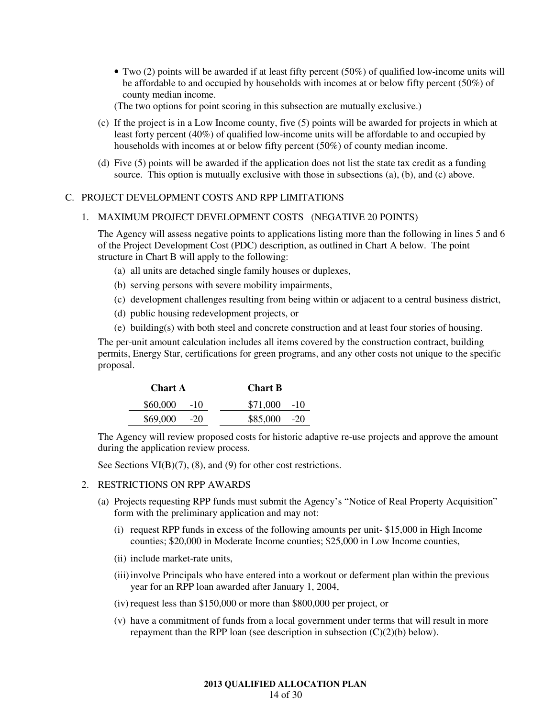• Two (2) points will be awarded if at least fifty percent (50%) of qualified low-income units will be affordable to and occupied by households with incomes at or below fifty percent (50%) of county median income.

(The two options for point scoring in this subsection are mutually exclusive.)

- (c) If the project is in a Low Income county, five (5) points will be awarded for projects in which at least forty percent (40%) of qualified low-income units will be affordable to and occupied by households with incomes at or below fifty percent (50%) of county median income.
- (d) Five (5) points will be awarded if the application does not list the state tax credit as a funding source. This option is mutually exclusive with those in subsections (a), (b), and (c) above.

# C. PROJECT DEVELOPMENT COSTS AND RPP LIMITATIONS

#### 1. MAXIMUM PROJECT DEVELOPMENT COSTS (NEGATIVE 20 POINTS)

The Agency will assess negative points to applications listing more than the following in lines 5 and 6 of the Project Development Cost (PDC) description, as outlined in Chart A below. The point structure in Chart B will apply to the following:

- (a) all units are detached single family houses or duplexes,
- (b) serving persons with severe mobility impairments,
- (c) development challenges resulting from being within or adjacent to a central business district,
- (d) public housing redevelopment projects, or
- (e) building(s) with both steel and concrete construction and at least four stories of housing.

The per-unit amount calculation includes all items covered by the construction contract, building permits, Energy Star, certifications for green programs, and any other costs not unique to the specific proposal.

| <b>Chart A</b> | <b>Chart B</b> |  |
|----------------|----------------|--|
| $$60,000$ -10  | $$71,000$ -10  |  |
| $$69,000$ -20  | $$85,000$ -20  |  |

The Agency will review proposed costs for historic adaptive re-use projects and approve the amount during the application review process.

See Sections VI(B)(7), (8), and (9) for other cost restrictions.

### 2. RESTRICTIONS ON RPP AWARDS

- (a) Projects requesting RPP funds must submit the Agency's "Notice of Real Property Acquisition" form with the preliminary application and may not:
	- (i) request RPP funds in excess of the following amounts per unit- \$15,000 in High Income counties; \$20,000 in Moderate Income counties; \$25,000 in Low Income counties,
	- (ii) include market-rate units,
	- (iii) involve Principals who have entered into a workout or deferment plan within the previous year for an RPP loan awarded after January 1, 2004,
	- (iv) request less than \$150,000 or more than \$800,000 per project, or
	- (v) have a commitment of funds from a local government under terms that will result in more repayment than the RPP loan (see description in subsection  $(C)(2)(b)$  below).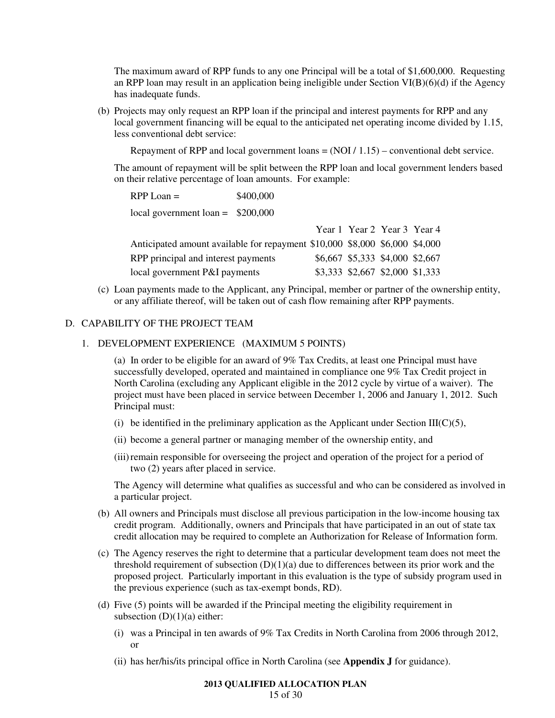The maximum award of RPP funds to any one Principal will be a total of \$1,600,000. Requesting an RPP loan may result in an application being ineligible under Section  $VI(B)(6)(d)$  if the Agency has inadequate funds.

(b) Projects may only request an RPP loan if the principal and interest payments for RPP and any local government financing will be equal to the anticipated net operating income divided by 1.15, less conventional debt service:

Repayment of RPP and local government loans  $= (NOI / 1.15) -$  conventional debt service.

The amount of repayment will be split between the RPP loan and local government lenders based on their relative percentage of loan amounts. For example:

RPP Loan =  $$400,000$ local government loan = \$200,000

|                                                                             | Year 1 Year 2 Year 3 Year 4     |  |
|-----------------------------------------------------------------------------|---------------------------------|--|
| Anticipated amount available for repayment \$10,000 \$8,000 \$6,000 \$4,000 |                                 |  |
| RPP principal and interest payments                                         | \$6,667 \$5,333 \$4,000 \$2,667 |  |
| local government P&I payments                                               | \$3,333 \$2,667 \$2,000 \$1,333 |  |

(c) Loan payments made to the Applicant, any Principal, member or partner of the ownership entity, or any affiliate thereof, will be taken out of cash flow remaining after RPP payments.

# D. CAPABILITY OF THE PROJECT TEAM

# 1. DEVELOPMENT EXPERIENCE (MAXIMUM 5 POINTS)

(a) In order to be eligible for an award of 9% Tax Credits, at least one Principal must have successfully developed, operated and maintained in compliance one 9% Tax Credit project in North Carolina (excluding any Applicant eligible in the 2012 cycle by virtue of a waiver). The project must have been placed in service between December 1, 2006 and January 1, 2012. Such Principal must:

- (i) be identified in the preliminary application as the Applicant under Section III( $C$ )(5),
- (ii) become a general partner or managing member of the ownership entity, and
- (iii) remain responsible for overseeing the project and operation of the project for a period of two (2) years after placed in service.

The Agency will determine what qualifies as successful and who can be considered as involved in a particular project.

- (b) All owners and Principals must disclose all previous participation in the low-income housing tax credit program. Additionally, owners and Principals that have participated in an out of state tax credit allocation may be required to complete an Authorization for Release of Information form.
- (c) The Agency reserves the right to determine that a particular development team does not meet the threshold requirement of subsection  $(D)(1)(a)$  due to differences between its prior work and the proposed project. Particularly important in this evaluation is the type of subsidy program used in the previous experience (such as tax-exempt bonds, RD).
- (d) Five (5) points will be awarded if the Principal meeting the eligibility requirement in subsection  $(D)(1)(a)$  either:
	- (i) was a Principal in ten awards of 9% Tax Credits in North Carolina from 2006 through 2012, or
	- (ii) has her/his/its principal office in North Carolina (see **Appendix J** for guidance).

#### **2013 QUALIFIED ALLOCATION PLAN**  15 of 30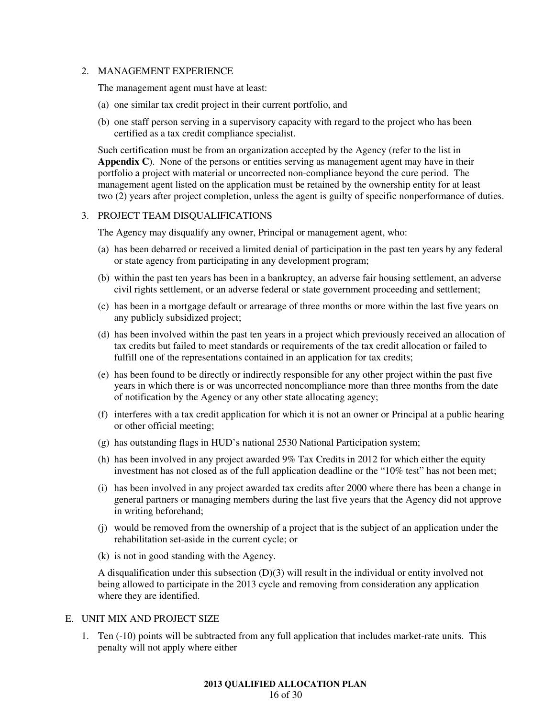#### 2. MANAGEMENT EXPERIENCE

The management agent must have at least:

- (a) one similar tax credit project in their current portfolio, and
- (b) one staff person serving in a supervisory capacity with regard to the project who has been certified as a tax credit compliance specialist.

Such certification must be from an organization accepted by the Agency (refer to the list in **Appendix C**). None of the persons or entities serving as management agent may have in their portfolio a project with material or uncorrected non-compliance beyond the cure period. The management agent listed on the application must be retained by the ownership entity for at least two (2) years after project completion, unless the agent is guilty of specific nonperformance of duties.

#### 3. PROJECT TEAM DISQUALIFICATIONS

The Agency may disqualify any owner, Principal or management agent, who:

- (a) has been debarred or received a limited denial of participation in the past ten years by any federal or state agency from participating in any development program;
- (b) within the past ten years has been in a bankruptcy, an adverse fair housing settlement, an adverse civil rights settlement, or an adverse federal or state government proceeding and settlement;
- (c) has been in a mortgage default or arrearage of three months or more within the last five years on any publicly subsidized project;
- (d) has been involved within the past ten years in a project which previously received an allocation of tax credits but failed to meet standards or requirements of the tax credit allocation or failed to fulfill one of the representations contained in an application for tax credits;
- (e) has been found to be directly or indirectly responsible for any other project within the past five years in which there is or was uncorrected noncompliance more than three months from the date of notification by the Agency or any other state allocating agency;
- (f) interferes with a tax credit application for which it is not an owner or Principal at a public hearing or other official meeting;
- (g) has outstanding flags in HUD's national 2530 National Participation system;
- (h) has been involved in any project awarded 9% Tax Credits in 2012 for which either the equity investment has not closed as of the full application deadline or the "10% test" has not been met;
- (i) has been involved in any project awarded tax credits after 2000 where there has been a change in general partners or managing members during the last five years that the Agency did not approve in writing beforehand;
- (j) would be removed from the ownership of a project that is the subject of an application under the rehabilitation set-aside in the current cycle; or
- (k) is not in good standing with the Agency.

A disqualification under this subsection (D)(3) will result in the individual or entity involved not being allowed to participate in the 2013 cycle and removing from consideration any application where they are identified.

### E. UNIT MIX AND PROJECT SIZE

1. Ten (-10) points will be subtracted from any full application that includes market-rate units. This penalty will not apply where either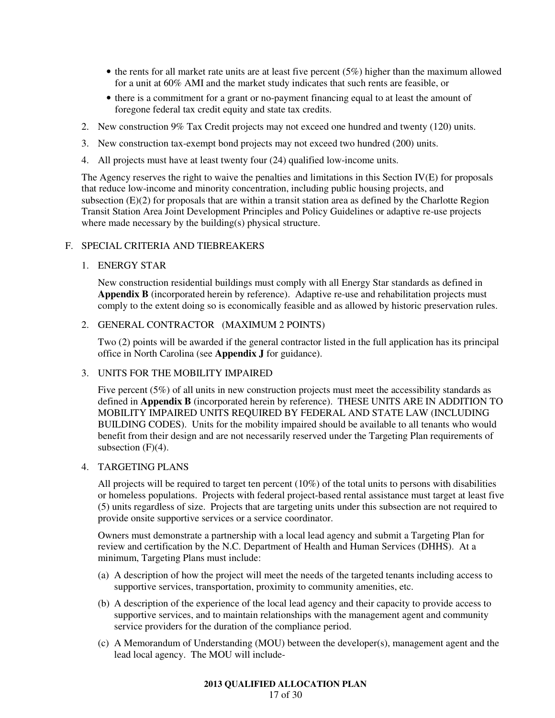- the rents for all market rate units are at least five percent (5%) higher than the maximum allowed for a unit at 60% AMI and the market study indicates that such rents are feasible, or
- there is a commitment for a grant or no-payment financing equal to at least the amount of foregone federal tax credit equity and state tax credits.
- 2. New construction 9% Tax Credit projects may not exceed one hundred and twenty (120) units.
- 3. New construction tax-exempt bond projects may not exceed two hundred (200) units.
- 4. All projects must have at least twenty four (24) qualified low-income units.

The Agency reserves the right to waive the penalties and limitations in this Section IV(E) for proposals that reduce low-income and minority concentration, including public housing projects, and subsection (E)(2) for proposals that are within a transit station area as defined by the Charlotte Region Transit Station Area Joint Development Principles and Policy Guidelines or adaptive re-use projects where made necessary by the building(s) physical structure.

# F. SPECIAL CRITERIA AND TIEBREAKERS

### 1. ENERGY STAR

New construction residential buildings must comply with all Energy Star standards as defined in **Appendix B** (incorporated herein by reference). Adaptive re-use and rehabilitation projects must comply to the extent doing so is economically feasible and as allowed by historic preservation rules.

# 2. GENERAL CONTRACTOR (MAXIMUM 2 POINTS)

Two (2) points will be awarded if the general contractor listed in the full application has its principal office in North Carolina (see **Appendix J** for guidance).

### 3. UNITS FOR THE MOBILITY IMPAIRED

Five percent (5%) of all units in new construction projects must meet the accessibility standards as defined in **Appendix B** (incorporated herein by reference). THESE UNITS ARE IN ADDITION TO MOBILITY IMPAIRED UNITS REQUIRED BY FEDERAL AND STATE LAW (INCLUDING BUILDING CODES). Units for the mobility impaired should be available to all tenants who would benefit from their design and are not necessarily reserved under the Targeting Plan requirements of subsection  $(F)(4)$ .

### 4. TARGETING PLANS

All projects will be required to target ten percent (10%) of the total units to persons with disabilities or homeless populations. Projects with federal project-based rental assistance must target at least five (5) units regardless of size. Projects that are targeting units under this subsection are not required to provide onsite supportive services or a service coordinator.

Owners must demonstrate a partnership with a local lead agency and submit a Targeting Plan for review and certification by the N.C. Department of Health and Human Services (DHHS). At a minimum, Targeting Plans must include:

- (a) A description of how the project will meet the needs of the targeted tenants including access to supportive services, transportation, proximity to community amenities, etc.
- (b) A description of the experience of the local lead agency and their capacity to provide access to supportive services, and to maintain relationships with the management agent and community service providers for the duration of the compliance period.
- (c) A Memorandum of Understanding (MOU) between the developer(s), management agent and the lead local agency. The MOU will include-

# **2013 QUALIFIED ALLOCATION PLAN**

17 of 30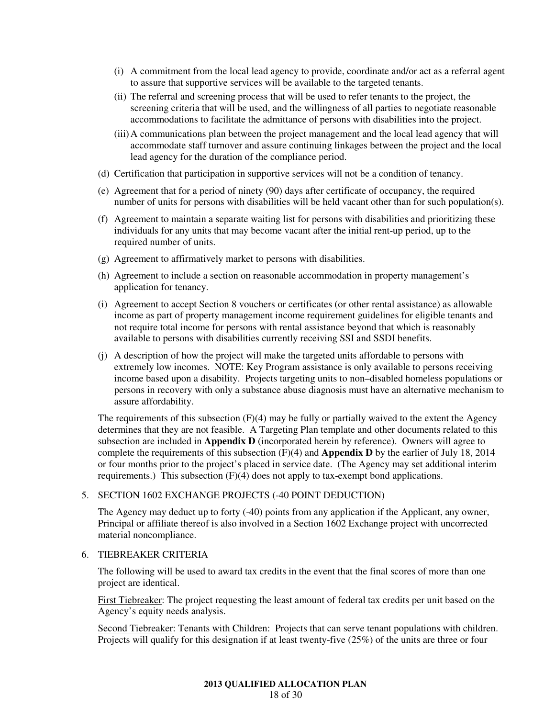- (i) A commitment from the local lead agency to provide, coordinate and/or act as a referral agent to assure that supportive services will be available to the targeted tenants.
- (ii) The referral and screening process that will be used to refer tenants to the project, the screening criteria that will be used, and the willingness of all parties to negotiate reasonable accommodations to facilitate the admittance of persons with disabilities into the project.
- (iii) A communications plan between the project management and the local lead agency that will accommodate staff turnover and assure continuing linkages between the project and the local lead agency for the duration of the compliance period.
- (d) Certification that participation in supportive services will not be a condition of tenancy.
- (e) Agreement that for a period of ninety (90) days after certificate of occupancy, the required number of units for persons with disabilities will be held vacant other than for such population(s).
- (f) Agreement to maintain a separate waiting list for persons with disabilities and prioritizing these individuals for any units that may become vacant after the initial rent-up period, up to the required number of units.
- (g) Agreement to affirmatively market to persons with disabilities.
- (h) Agreement to include a section on reasonable accommodation in property management's application for tenancy.
- (i) Agreement to accept Section 8 vouchers or certificates (or other rental assistance) as allowable income as part of property management income requirement guidelines for eligible tenants and not require total income for persons with rental assistance beyond that which is reasonably available to persons with disabilities currently receiving SSI and SSDI benefits.
- (j) A description of how the project will make the targeted units affordable to persons with extremely low incomes. NOTE: Key Program assistance is only available to persons receiving income based upon a disability. Projects targeting units to non–disabled homeless populations or persons in recovery with only a substance abuse diagnosis must have an alternative mechanism to assure affordability.

The requirements of this subsection  $(F)(4)$  may be fully or partially waived to the extent the Agency determines that they are not feasible. A Targeting Plan template and other documents related to this subsection are included in **Appendix D** (incorporated herein by reference). Owners will agree to complete the requirements of this subsection (F)(4) and **Appendix D** by the earlier of July 18, 2014 or four months prior to the project's placed in service date. (The Agency may set additional interim requirements.) This subsection  $(F)(4)$  does not apply to tax-exempt bond applications.

### 5. SECTION 1602 EXCHANGE PROJECTS (-40 POINT DEDUCTION)

The Agency may deduct up to forty (-40) points from any application if the Applicant, any owner, Principal or affiliate thereof is also involved in a Section 1602 Exchange project with uncorrected material noncompliance.

# 6. TIEBREAKER CRITERIA

The following will be used to award tax credits in the event that the final scores of more than one project are identical.

First Tiebreaker: The project requesting the least amount of federal tax credits per unit based on the Agency's equity needs analysis.

Second Tiebreaker: Tenants with Children: Projects that can serve tenant populations with children. Projects will qualify for this designation if at least twenty-five (25%) of the units are three or four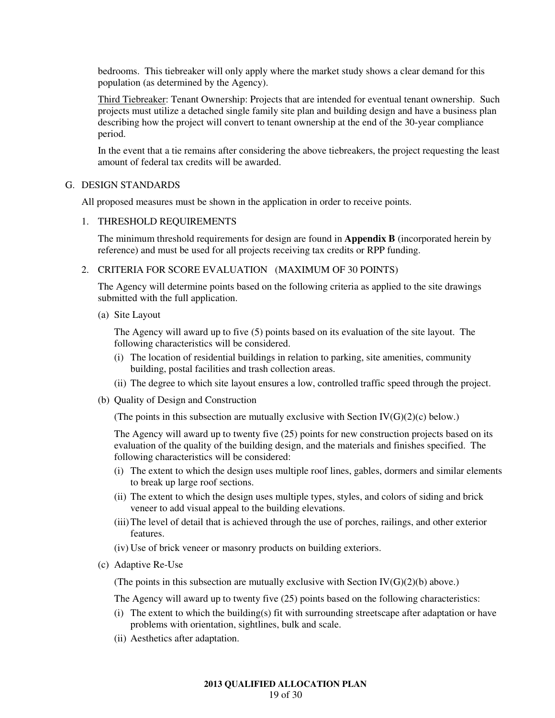bedrooms. This tiebreaker will only apply where the market study shows a clear demand for this population (as determined by the Agency).

Third Tiebreaker: Tenant Ownership: Projects that are intended for eventual tenant ownership. Such projects must utilize a detached single family site plan and building design and have a business plan describing how the project will convert to tenant ownership at the end of the 30-year compliance period.

In the event that a tie remains after considering the above tiebreakers, the project requesting the least amount of federal tax credits will be awarded.

### G. DESIGN STANDARDS

All proposed measures must be shown in the application in order to receive points.

# 1. THRESHOLD REQUIREMENTS

The minimum threshold requirements for design are found in **Appendix B** (incorporated herein by reference) and must be used for all projects receiving tax credits or RPP funding.

# 2. CRITERIA FOR SCORE EVALUATION (MAXIMUM OF 30 POINTS)

The Agency will determine points based on the following criteria as applied to the site drawings submitted with the full application.

(a) Site Layout

The Agency will award up to five (5) points based on its evaluation of the site layout. The following characteristics will be considered.

- (i) The location of residential buildings in relation to parking, site amenities, community building, postal facilities and trash collection areas.
- (ii) The degree to which site layout ensures a low, controlled traffic speed through the project.
- (b) Quality of Design and Construction

(The points in this subsection are mutually exclusive with Section  $IV(G)(2)(c)$  below.)

The Agency will award up to twenty five (25) points for new construction projects based on its evaluation of the quality of the building design, and the materials and finishes specified. The following characteristics will be considered:

- (i) The extent to which the design uses multiple roof lines, gables, dormers and similar elements to break up large roof sections.
- (ii) The extent to which the design uses multiple types, styles, and colors of siding and brick veneer to add visual appeal to the building elevations.
- (iii) The level of detail that is achieved through the use of porches, railings, and other exterior features.
- (iv) Use of brick veneer or masonry products on building exteriors.
- (c) Adaptive Re-Use

(The points in this subsection are mutually exclusive with Section  $IV(G)(2)(b)$  above.)

The Agency will award up to twenty five (25) points based on the following characteristics:

- (i) The extent to which the building(s) fit with surrounding streetscape after adaptation or have problems with orientation, sightlines, bulk and scale.
- (ii) Aesthetics after adaptation.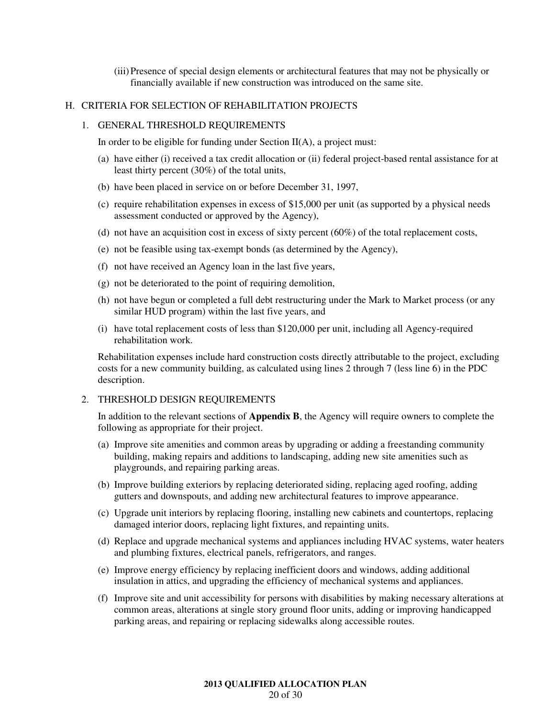(iii) Presence of special design elements or architectural features that may not be physically or financially available if new construction was introduced on the same site.

### H. CRITERIA FOR SELECTION OF REHABILITATION PROJECTS

### 1. GENERAL THRESHOLD REQUIREMENTS

In order to be eligible for funding under Section  $II(A)$ , a project must:

- (a) have either (i) received a tax credit allocation or (ii) federal project-based rental assistance for at least thirty percent (30%) of the total units,
- (b) have been placed in service on or before December 31, 1997,
- (c) require rehabilitation expenses in excess of \$15,000 per unit (as supported by a physical needs assessment conducted or approved by the Agency),
- (d) not have an acquisition cost in excess of sixty percent  $(60%)$  of the total replacement costs,
- (e) not be feasible using tax-exempt bonds (as determined by the Agency),
- (f) not have received an Agency loan in the last five years,
- (g) not be deteriorated to the point of requiring demolition,
- (h) not have begun or completed a full debt restructuring under the Mark to Market process (or any similar HUD program) within the last five years, and
- (i) have total replacement costs of less than \$120,000 per unit, including all Agency-required rehabilitation work.

Rehabilitation expenses include hard construction costs directly attributable to the project, excluding costs for a new community building, as calculated using lines 2 through 7 (less line 6) in the PDC description.

# 2. THRESHOLD DESIGN REQUIREMENTS

In addition to the relevant sections of **Appendix B**, the Agency will require owners to complete the following as appropriate for their project.

- (a) Improve site amenities and common areas by upgrading or adding a freestanding community building, making repairs and additions to landscaping, adding new site amenities such as playgrounds, and repairing parking areas.
- (b) Improve building exteriors by replacing deteriorated siding, replacing aged roofing, adding gutters and downspouts, and adding new architectural features to improve appearance.
- (c) Upgrade unit interiors by replacing flooring, installing new cabinets and countertops, replacing damaged interior doors, replacing light fixtures, and repainting units.
- (d) Replace and upgrade mechanical systems and appliances including HVAC systems, water heaters and plumbing fixtures, electrical panels, refrigerators, and ranges.
- (e) Improve energy efficiency by replacing inefficient doors and windows, adding additional insulation in attics, and upgrading the efficiency of mechanical systems and appliances.
- (f) Improve site and unit accessibility for persons with disabilities by making necessary alterations at common areas, alterations at single story ground floor units, adding or improving handicapped parking areas, and repairing or replacing sidewalks along accessible routes.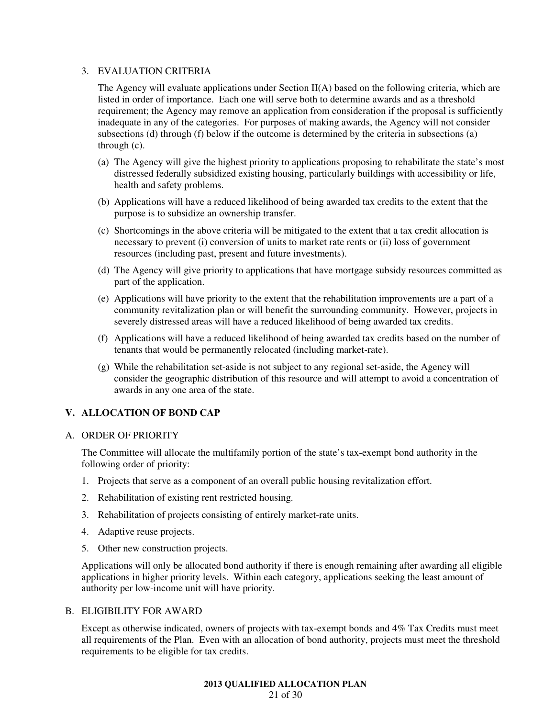### 3. EVALUATION CRITERIA

The Agency will evaluate applications under Section II(A) based on the following criteria, which are listed in order of importance. Each one will serve both to determine awards and as a threshold requirement; the Agency may remove an application from consideration if the proposal is sufficiently inadequate in any of the categories. For purposes of making awards, the Agency will not consider subsections (d) through (f) below if the outcome is determined by the criteria in subsections (a) through (c).

- (a) The Agency will give the highest priority to applications proposing to rehabilitate the state's most distressed federally subsidized existing housing, particularly buildings with accessibility or life, health and safety problems.
- (b) Applications will have a reduced likelihood of being awarded tax credits to the extent that the purpose is to subsidize an ownership transfer.
- (c) Shortcomings in the above criteria will be mitigated to the extent that a tax credit allocation is necessary to prevent (i) conversion of units to market rate rents or (ii) loss of government resources (including past, present and future investments).
- (d) The Agency will give priority to applications that have mortgage subsidy resources committed as part of the application.
- (e) Applications will have priority to the extent that the rehabilitation improvements are a part of a community revitalization plan or will benefit the surrounding community. However, projects in severely distressed areas will have a reduced likelihood of being awarded tax credits.
- (f) Applications will have a reduced likelihood of being awarded tax credits based on the number of tenants that would be permanently relocated (including market-rate).
- (g) While the rehabilitation set-aside is not subject to any regional set-aside, the Agency will consider the geographic distribution of this resource and will attempt to avoid a concentration of awards in any one area of the state.

# **V. ALLOCATION OF BOND CAP**

### A. ORDER OF PRIORITY

The Committee will allocate the multifamily portion of the state's tax-exempt bond authority in the following order of priority:

- 1. Projects that serve as a component of an overall public housing revitalization effort.
- 2. Rehabilitation of existing rent restricted housing.
- 3. Rehabilitation of projects consisting of entirely market-rate units.
- 4. Adaptive reuse projects.
- 5. Other new construction projects.

Applications will only be allocated bond authority if there is enough remaining after awarding all eligible applications in higher priority levels. Within each category, applications seeking the least amount of authority per low-income unit will have priority.

# B. ELIGIBILITY FOR AWARD

Except as otherwise indicated, owners of projects with tax-exempt bonds and 4% Tax Credits must meet all requirements of the Plan. Even with an allocation of bond authority, projects must meet the threshold requirements to be eligible for tax credits.

#### **2013 QUALIFIED ALLOCATION PLAN**  21 of 30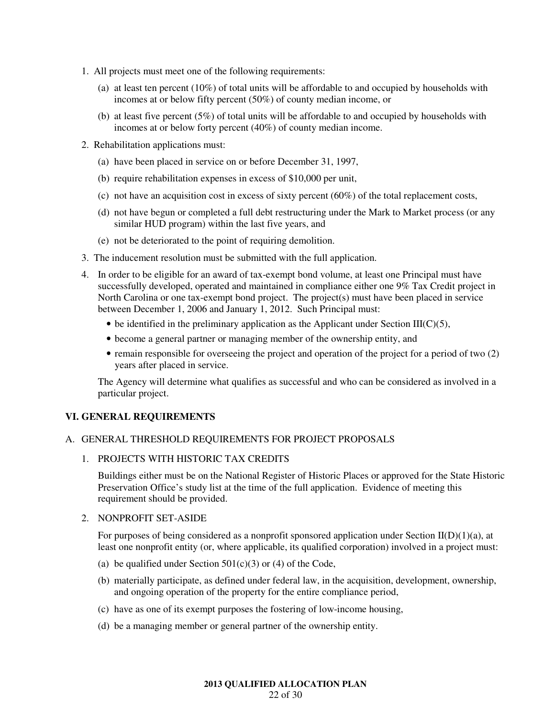- 1. All projects must meet one of the following requirements:
	- (a) at least ten percent (10%) of total units will be affordable to and occupied by households with incomes at or below fifty percent (50%) of county median income, or
	- (b) at least five percent (5%) of total units will be affordable to and occupied by households with incomes at or below forty percent (40%) of county median income.
- 2. Rehabilitation applications must:
	- (a) have been placed in service on or before December 31, 1997,
	- (b) require rehabilitation expenses in excess of \$10,000 per unit,
	- (c) not have an acquisition cost in excess of sixty percent  $(60\%)$  of the total replacement costs,
	- (d) not have begun or completed a full debt restructuring under the Mark to Market process (or any similar HUD program) within the last five years, and
	- (e) not be deteriorated to the point of requiring demolition.
- 3. The inducement resolution must be submitted with the full application.
- 4. In order to be eligible for an award of tax-exempt bond volume, at least one Principal must have successfully developed, operated and maintained in compliance either one 9% Tax Credit project in North Carolina or one tax-exempt bond project. The project(s) must have been placed in service between December 1, 2006 and January 1, 2012. Such Principal must:
	- be identified in the preliminary application as the Applicant under Section  $III(C)(5)$ ,
	- become a general partner or managing member of the ownership entity, and
	- remain responsible for overseeing the project and operation of the project for a period of two (2) years after placed in service.

The Agency will determine what qualifies as successful and who can be considered as involved in a particular project.

# **VI. GENERAL REQUIREMENTS**

# A. GENERAL THRESHOLD REQUIREMENTS FOR PROJECT PROPOSALS

# 1. PROJECTS WITH HISTORIC TAX CREDITS

Buildings either must be on the National Register of Historic Places or approved for the State Historic Preservation Office's study list at the time of the full application. Evidence of meeting this requirement should be provided.

### 2. NONPROFIT SET-ASIDE

For purposes of being considered as a nonprofit sponsored application under Section  $II(D)(1)(a)$ , at least one nonprofit entity (or, where applicable, its qualified corporation) involved in a project must:

- (a) be qualified under Section  $501(c)(3)$  or (4) of the Code,
- (b) materially participate, as defined under federal law, in the acquisition, development, ownership, and ongoing operation of the property for the entire compliance period,
- (c) have as one of its exempt purposes the fostering of low-income housing,
- (d) be a managing member or general partner of the ownership entity.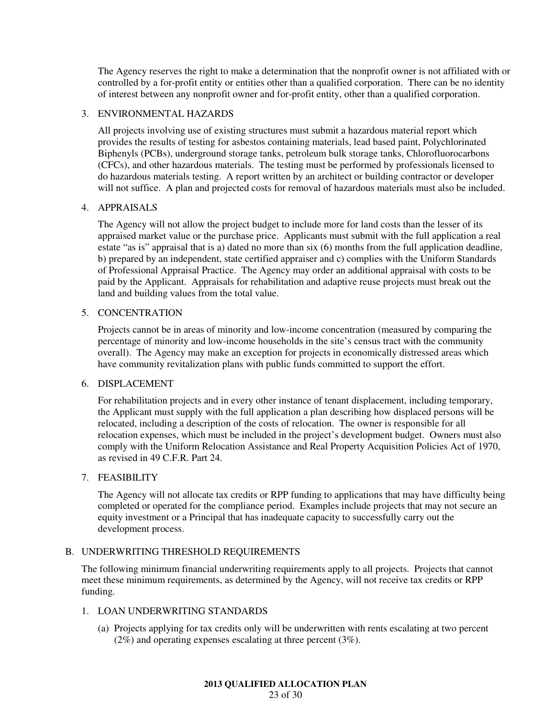The Agency reserves the right to make a determination that the nonprofit owner is not affiliated with or controlled by a for-profit entity or entities other than a qualified corporation. There can be no identity of interest between any nonprofit owner and for-profit entity, other than a qualified corporation.

# 3. ENVIRONMENTAL HAZARDS

All projects involving use of existing structures must submit a hazardous material report which provides the results of testing for asbestos containing materials, lead based paint, Polychlorinated Biphenyls (PCBs), underground storage tanks, petroleum bulk storage tanks, Chlorofluorocarbons (CFCs), and other hazardous materials. The testing must be performed by professionals licensed to do hazardous materials testing. A report written by an architect or building contractor or developer will not suffice. A plan and projected costs for removal of hazardous materials must also be included.

# 4. APPRAISALS

The Agency will not allow the project budget to include more for land costs than the lesser of its appraised market value or the purchase price. Applicants must submit with the full application a real estate "as is" appraisal that is a) dated no more than six (6) months from the full application deadline, b) prepared by an independent, state certified appraiser and c) complies with the Uniform Standards of Professional Appraisal Practice. The Agency may order an additional appraisal with costs to be paid by the Applicant. Appraisals for rehabilitation and adaptive reuse projects must break out the land and building values from the total value.

# 5. CONCENTRATION

Projects cannot be in areas of minority and low-income concentration (measured by comparing the percentage of minority and low-income households in the site's census tract with the community overall). The Agency may make an exception for projects in economically distressed areas which have community revitalization plans with public funds committed to support the effort.

# 6. DISPLACEMENT

For rehabilitation projects and in every other instance of tenant displacement, including temporary, the Applicant must supply with the full application a plan describing how displaced persons will be relocated, including a description of the costs of relocation. The owner is responsible for all relocation expenses, which must be included in the project's development budget. Owners must also comply with the Uniform Relocation Assistance and Real Property Acquisition Policies Act of 1970, as revised in 49 C.F.R. Part 24.

### 7. FEASIBILITY

The Agency will not allocate tax credits or RPP funding to applications that may have difficulty being completed or operated for the compliance period. Examples include projects that may not secure an equity investment or a Principal that has inadequate capacity to successfully carry out the development process.

# B. UNDERWRITING THRESHOLD REQUIREMENTS

The following minimum financial underwriting requirements apply to all projects. Projects that cannot meet these minimum requirements, as determined by the Agency, will not receive tax credits or RPP funding.

# 1. LOAN UNDERWRITING STANDARDS

(a) Projects applying for tax credits only will be underwritten with rents escalating at two percent (2%) and operating expenses escalating at three percent (3%).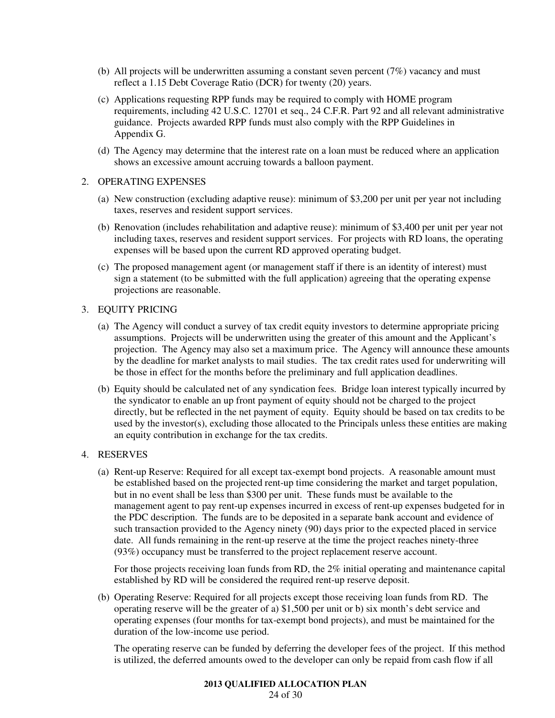- (b) All projects will be underwritten assuming a constant seven percent  $(7%)$  vacancy and must reflect a 1.15 Debt Coverage Ratio (DCR) for twenty (20) years.
- (c) Applications requesting RPP funds may be required to comply with HOME program requirements, including 42 U.S.C. 12701 et seq., 24 C.F.R. Part 92 and all relevant administrative guidance. Projects awarded RPP funds must also comply with the RPP Guidelines in Appendix G.
- (d) The Agency may determine that the interest rate on a loan must be reduced where an application shows an excessive amount accruing towards a balloon payment.

# 2. OPERATING EXPENSES

- (a) New construction (excluding adaptive reuse): minimum of \$3,200 per unit per year not including taxes, reserves and resident support services.
- (b) Renovation (includes rehabilitation and adaptive reuse): minimum of \$3,400 per unit per year not including taxes, reserves and resident support services. For projects with RD loans, the operating expenses will be based upon the current RD approved operating budget.
- (c) The proposed management agent (or management staff if there is an identity of interest) must sign a statement (to be submitted with the full application) agreeing that the operating expense projections are reasonable.

# 3. EQUITY PRICING

- (a) The Agency will conduct a survey of tax credit equity investors to determine appropriate pricing assumptions. Projects will be underwritten using the greater of this amount and the Applicant's projection. The Agency may also set a maximum price. The Agency will announce these amounts by the deadline for market analysts to mail studies. The tax credit rates used for underwriting will be those in effect for the months before the preliminary and full application deadlines.
- (b) Equity should be calculated net of any syndication fees. Bridge loan interest typically incurred by the syndicator to enable an up front payment of equity should not be charged to the project directly, but be reflected in the net payment of equity. Equity should be based on tax credits to be used by the investor(s), excluding those allocated to the Principals unless these entities are making an equity contribution in exchange for the tax credits.

# 4. RESERVES

(a) Rent-up Reserve: Required for all except tax-exempt bond projects. A reasonable amount must be established based on the projected rent-up time considering the market and target population, but in no event shall be less than \$300 per unit. These funds must be available to the management agent to pay rent-up expenses incurred in excess of rent-up expenses budgeted for in the PDC description. The funds are to be deposited in a separate bank account and evidence of such transaction provided to the Agency ninety (90) days prior to the expected placed in service date. All funds remaining in the rent-up reserve at the time the project reaches ninety-three (93%) occupancy must be transferred to the project replacement reserve account.

For those projects receiving loan funds from RD, the 2% initial operating and maintenance capital established by RD will be considered the required rent-up reserve deposit.

(b) Operating Reserve: Required for all projects except those receiving loan funds from RD. The operating reserve will be the greater of a) \$1,500 per unit or b) six month's debt service and operating expenses (four months for tax-exempt bond projects), and must be maintained for the duration of the low-income use period.

The operating reserve can be funded by deferring the developer fees of the project. If this method is utilized, the deferred amounts owed to the developer can only be repaid from cash flow if all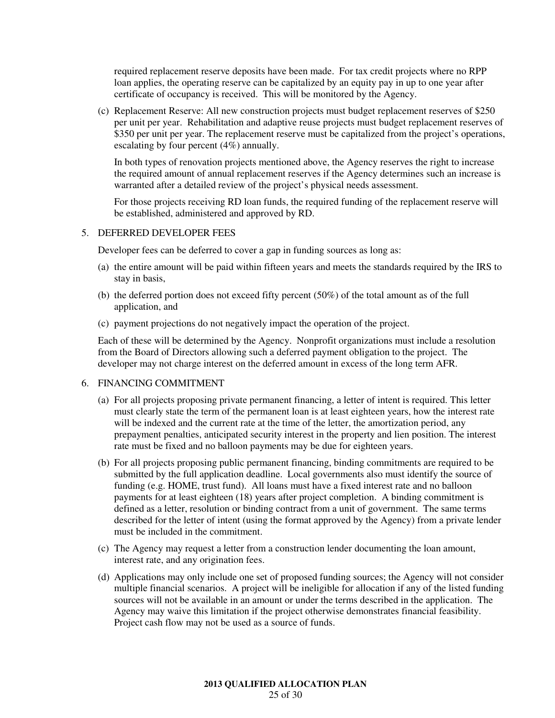required replacement reserve deposits have been made. For tax credit projects where no RPP loan applies, the operating reserve can be capitalized by an equity pay in up to one year after certificate of occupancy is received. This will be monitored by the Agency.

(c) Replacement Reserve: All new construction projects must budget replacement reserves of \$250 per unit per year. Rehabilitation and adaptive reuse projects must budget replacement reserves of \$350 per unit per year. The replacement reserve must be capitalized from the project's operations, escalating by four percent (4%) annually.

In both types of renovation projects mentioned above, the Agency reserves the right to increase the required amount of annual replacement reserves if the Agency determines such an increase is warranted after a detailed review of the project's physical needs assessment.

For those projects receiving RD loan funds, the required funding of the replacement reserve will be established, administered and approved by RD.

### 5. DEFERRED DEVELOPER FEES

Developer fees can be deferred to cover a gap in funding sources as long as:

- (a) the entire amount will be paid within fifteen years and meets the standards required by the IRS to stay in basis,
- (b) the deferred portion does not exceed fifty percent (50%) of the total amount as of the full application, and
- (c) payment projections do not negatively impact the operation of the project.

Each of these will be determined by the Agency. Nonprofit organizations must include a resolution from the Board of Directors allowing such a deferred payment obligation to the project. The developer may not charge interest on the deferred amount in excess of the long term AFR.

### 6. FINANCING COMMITMENT

- (a) For all projects proposing private permanent financing, a letter of intent is required. This letter must clearly state the term of the permanent loan is at least eighteen years, how the interest rate will be indexed and the current rate at the time of the letter, the amortization period, any prepayment penalties, anticipated security interest in the property and lien position. The interest rate must be fixed and no balloon payments may be due for eighteen years.
- (b) For all projects proposing public permanent financing, binding commitments are required to be submitted by the full application deadline. Local governments also must identify the source of funding (e.g. HOME, trust fund). All loans must have a fixed interest rate and no balloon payments for at least eighteen (18) years after project completion. A binding commitment is defined as a letter, resolution or binding contract from a unit of government. The same terms described for the letter of intent (using the format approved by the Agency) from a private lender must be included in the commitment.
- (c) The Agency may request a letter from a construction lender documenting the loan amount, interest rate, and any origination fees.
- (d) Applications may only include one set of proposed funding sources; the Agency will not consider multiple financial scenarios. A project will be ineligible for allocation if any of the listed funding sources will not be available in an amount or under the terms described in the application. The Agency may waive this limitation if the project otherwise demonstrates financial feasibility. Project cash flow may not be used as a source of funds.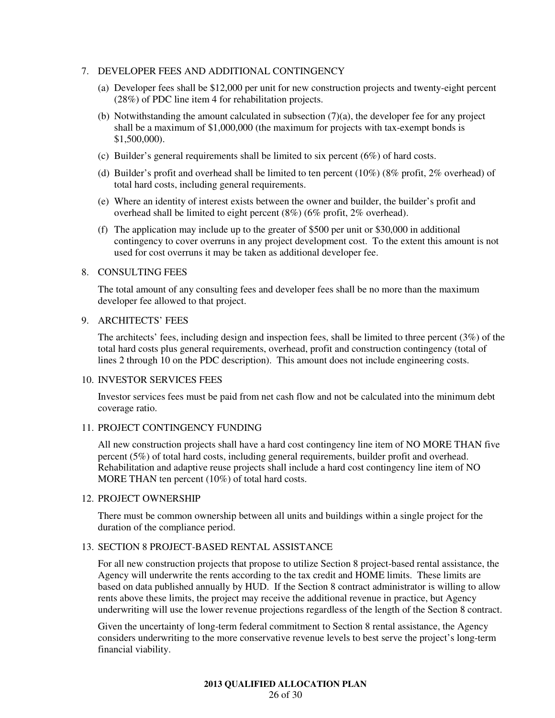## 7. DEVELOPER FEES AND ADDITIONAL CONTINGENCY

- (a) Developer fees shall be \$12,000 per unit for new construction projects and twenty-eight percent (28%) of PDC line item 4 for rehabilitation projects.
- (b) Notwithstanding the amount calculated in subsection  $(7)(a)$ , the developer fee for any project shall be a maximum of \$1,000,000 (the maximum for projects with tax-exempt bonds is \$1,500,000).
- (c) Builder's general requirements shall be limited to six percent (6%) of hard costs.
- (d) Builder's profit and overhead shall be limited to ten percent (10%) (8% profit, 2% overhead) of total hard costs, including general requirements.
- (e) Where an identity of interest exists between the owner and builder, the builder's profit and overhead shall be limited to eight percent (8%) (6% profit, 2% overhead).
- (f) The application may include up to the greater of \$500 per unit or \$30,000 in additional contingency to cover overruns in any project development cost. To the extent this amount is not used for cost overruns it may be taken as additional developer fee.

### 8. CONSULTING FEES

The total amount of any consulting fees and developer fees shall be no more than the maximum developer fee allowed to that project.

### 9. ARCHITECTS' FEES

The architects' fees, including design and inspection fees, shall be limited to three percent (3%) of the total hard costs plus general requirements, overhead, profit and construction contingency (total of lines 2 through 10 on the PDC description). This amount does not include engineering costs.

#### 10. INVESTOR SERVICES FEES

Investor services fees must be paid from net cash flow and not be calculated into the minimum debt coverage ratio.

### 11. PROJECT CONTINGENCY FUNDING

All new construction projects shall have a hard cost contingency line item of NO MORE THAN five percent (5%) of total hard costs, including general requirements, builder profit and overhead. Rehabilitation and adaptive reuse projects shall include a hard cost contingency line item of NO MORE THAN ten percent (10%) of total hard costs.

# 12. PROJECT OWNERSHIP

There must be common ownership between all units and buildings within a single project for the duration of the compliance period.

### 13. SECTION 8 PROJECT-BASED RENTAL ASSISTANCE

For all new construction projects that propose to utilize Section 8 project-based rental assistance, the Agency will underwrite the rents according to the tax credit and HOME limits. These limits are based on data published annually by HUD. If the Section 8 contract administrator is willing to allow rents above these limits, the project may receive the additional revenue in practice, but Agency underwriting will use the lower revenue projections regardless of the length of the Section 8 contract.

Given the uncertainty of long-term federal commitment to Section 8 rental assistance, the Agency considers underwriting to the more conservative revenue levels to best serve the project's long-term financial viability.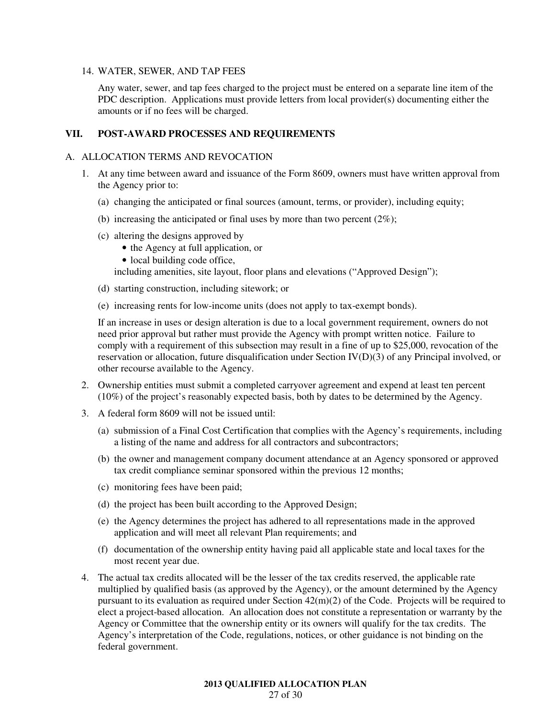### 14. WATER, SEWER, AND TAP FEES

Any water, sewer, and tap fees charged to the project must be entered on a separate line item of the PDC description. Applications must provide letters from local provider(s) documenting either the amounts or if no fees will be charged.

# **VII. POST-AWARD PROCESSES AND REQUIREMENTS**

#### A. ALLOCATION TERMS AND REVOCATION

- 1. At any time between award and issuance of the Form 8609, owners must have written approval from the Agency prior to:
	- (a) changing the anticipated or final sources (amount, terms, or provider), including equity;
	- (b) increasing the anticipated or final uses by more than two percent  $(2\%)$ ;
	- (c) altering the designs approved by
		- the Agency at full application, or
		- local building code office,

including amenities, site layout, floor plans and elevations ("Approved Design");

- (d) starting construction, including sitework; or
- (e) increasing rents for low-income units (does not apply to tax-exempt bonds).

If an increase in uses or design alteration is due to a local government requirement, owners do not need prior approval but rather must provide the Agency with prompt written notice. Failure to comply with a requirement of this subsection may result in a fine of up to \$25,000, revocation of the reservation or allocation, future disqualification under Section IV(D)(3) of any Principal involved, or other recourse available to the Agency.

- 2. Ownership entities must submit a completed carryover agreement and expend at least ten percent (10%) of the project's reasonably expected basis, both by dates to be determined by the Agency.
- 3. A federal form 8609 will not be issued until:
	- (a) submission of a Final Cost Certification that complies with the Agency's requirements, including a listing of the name and address for all contractors and subcontractors;
	- (b) the owner and management company document attendance at an Agency sponsored or approved tax credit compliance seminar sponsored within the previous 12 months;
	- (c) monitoring fees have been paid;
	- (d) the project has been built according to the Approved Design;
	- (e) the Agency determines the project has adhered to all representations made in the approved application and will meet all relevant Plan requirements; and
	- (f) documentation of the ownership entity having paid all applicable state and local taxes for the most recent year due.
- 4. The actual tax credits allocated will be the lesser of the tax credits reserved, the applicable rate multiplied by qualified basis (as approved by the Agency), or the amount determined by the Agency pursuant to its evaluation as required under Section 42(m)(2) of the Code. Projects will be required to elect a project-based allocation. An allocation does not constitute a representation or warranty by the Agency or Committee that the ownership entity or its owners will qualify for the tax credits. The Agency's interpretation of the Code, regulations, notices, or other guidance is not binding on the federal government.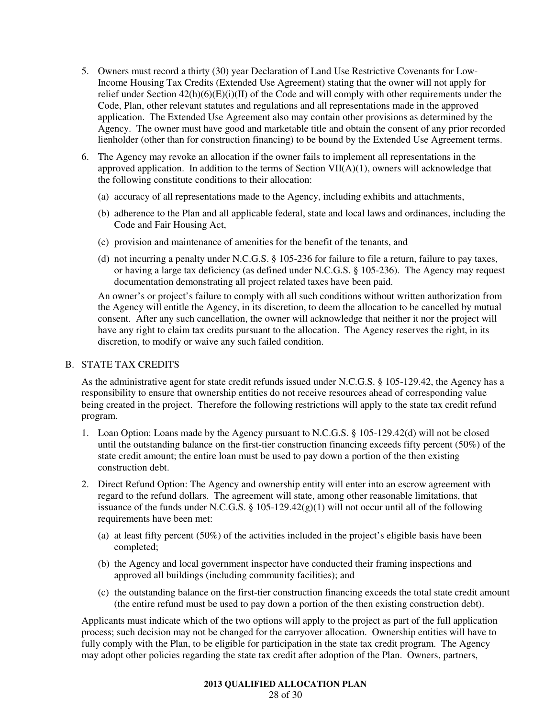- 5. Owners must record a thirty (30) year Declaration of Land Use Restrictive Covenants for Low-Income Housing Tax Credits (Extended Use Agreement) stating that the owner will not apply for relief under Section 42(h)(6)(E)(i)(II) of the Code and will comply with other requirements under the Code, Plan, other relevant statutes and regulations and all representations made in the approved application. The Extended Use Agreement also may contain other provisions as determined by the Agency. The owner must have good and marketable title and obtain the consent of any prior recorded lienholder (other than for construction financing) to be bound by the Extended Use Agreement terms.
- 6. The Agency may revoke an allocation if the owner fails to implement all representations in the approved application. In addition to the terms of Section VII(A)(1), owners will acknowledge that the following constitute conditions to their allocation:
	- (a) accuracy of all representations made to the Agency, including exhibits and attachments,
	- (b) adherence to the Plan and all applicable federal, state and local laws and ordinances, including the Code and Fair Housing Act,
	- (c) provision and maintenance of amenities for the benefit of the tenants, and
	- (d) not incurring a penalty under N.C.G.S. § 105-236 for failure to file a return, failure to pay taxes, or having a large tax deficiency (as defined under N.C.G.S. § 105-236). The Agency may request documentation demonstrating all project related taxes have been paid.

An owner's or project's failure to comply with all such conditions without written authorization from the Agency will entitle the Agency, in its discretion, to deem the allocation to be cancelled by mutual consent. After any such cancellation, the owner will acknowledge that neither it nor the project will have any right to claim tax credits pursuant to the allocation. The Agency reserves the right, in its discretion, to modify or waive any such failed condition.

# B. STATE TAX CREDITS

As the administrative agent for state credit refunds issued under N.C.G.S. § 105-129.42, the Agency has a responsibility to ensure that ownership entities do not receive resources ahead of corresponding value being created in the project. Therefore the following restrictions will apply to the state tax credit refund program.

- 1. Loan Option: Loans made by the Agency pursuant to N.C.G.S. § 105-129.42(d) will not be closed until the outstanding balance on the first-tier construction financing exceeds fifty percent (50%) of the state credit amount; the entire loan must be used to pay down a portion of the then existing construction debt.
- 2. Direct Refund Option: The Agency and ownership entity will enter into an escrow agreement with regard to the refund dollars. The agreement will state, among other reasonable limitations, that issuance of the funds under N.C.G.S.  $\S$  105-129.42(g)(1) will not occur until all of the following requirements have been met:
	- (a) at least fifty percent (50%) of the activities included in the project's eligible basis have been completed;
	- (b) the Agency and local government inspector have conducted their framing inspections and approved all buildings (including community facilities); and
	- (c) the outstanding balance on the first-tier construction financing exceeds the total state credit amount (the entire refund must be used to pay down a portion of the then existing construction debt).

Applicants must indicate which of the two options will apply to the project as part of the full application process; such decision may not be changed for the carryover allocation. Ownership entities will have to fully comply with the Plan, to be eligible for participation in the state tax credit program. The Agency may adopt other policies regarding the state tax credit after adoption of the Plan. Owners, partners,

### **2013 QUALIFIED ALLOCATION PLAN**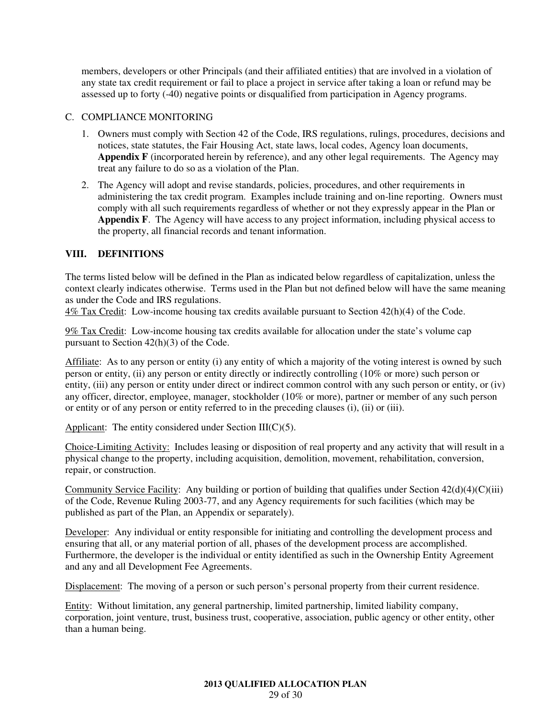members, developers or other Principals (and their affiliated entities) that are involved in a violation of any state tax credit requirement or fail to place a project in service after taking a loan or refund may be assessed up to forty (-40) negative points or disqualified from participation in Agency programs.

# C. COMPLIANCE MONITORING

- 1. Owners must comply with Section 42 of the Code, IRS regulations, rulings, procedures, decisions and notices, state statutes, the Fair Housing Act, state laws, local codes, Agency loan documents, **Appendix F** (incorporated herein by reference), and any other legal requirements. The Agency may treat any failure to do so as a violation of the Plan.
- 2. The Agency will adopt and revise standards, policies, procedures, and other requirements in administering the tax credit program. Examples include training and on-line reporting. Owners must comply with all such requirements regardless of whether or not they expressly appear in the Plan or **Appendix F**. The Agency will have access to any project information, including physical access to the property, all financial records and tenant information.

# **VIII. DEFINITIONS**

The terms listed below will be defined in the Plan as indicated below regardless of capitalization, unless the context clearly indicates otherwise. Terms used in the Plan but not defined below will have the same meaning as under the Code and IRS regulations.

4% Tax Credit: Low-income housing tax credits available pursuant to Section 42(h)(4) of the Code.

9% Tax Credit: Low-income housing tax credits available for allocation under the state's volume cap pursuant to Section 42(h)(3) of the Code.

Affiliate: As to any person or entity (i) any entity of which a majority of the voting interest is owned by such person or entity, (ii) any person or entity directly or indirectly controlling (10% or more) such person or entity, (iii) any person or entity under direct or indirect common control with any such person or entity, or (iv) any officer, director, employee, manager, stockholder (10% or more), partner or member of any such person or entity or of any person or entity referred to in the preceding clauses (i), (ii) or (iii).

Applicant: The entity considered under Section III( $C$ )(5).

Choice-Limiting Activity: Includes leasing or disposition of real property and any activity that will result in a physical change to the property, including acquisition, demolition, movement, rehabilitation, conversion, repair, or construction.

Community Service Facility: Any building or portion of building that qualifies under Section  $42(d)(4)(C)(iii)$ of the Code, Revenue Ruling 2003-77, and any Agency requirements for such facilities (which may be published as part of the Plan, an Appendix or separately).

Developer: Any individual or entity responsible for initiating and controlling the development process and ensuring that all, or any material portion of all, phases of the development process are accomplished. Furthermore, the developer is the individual or entity identified as such in the Ownership Entity Agreement and any and all Development Fee Agreements.

Displacement: The moving of a person or such person's personal property from their current residence.

Entity: Without limitation, any general partnership, limited partnership, limited liability company, corporation, joint venture, trust, business trust, cooperative, association, public agency or other entity, other than a human being.